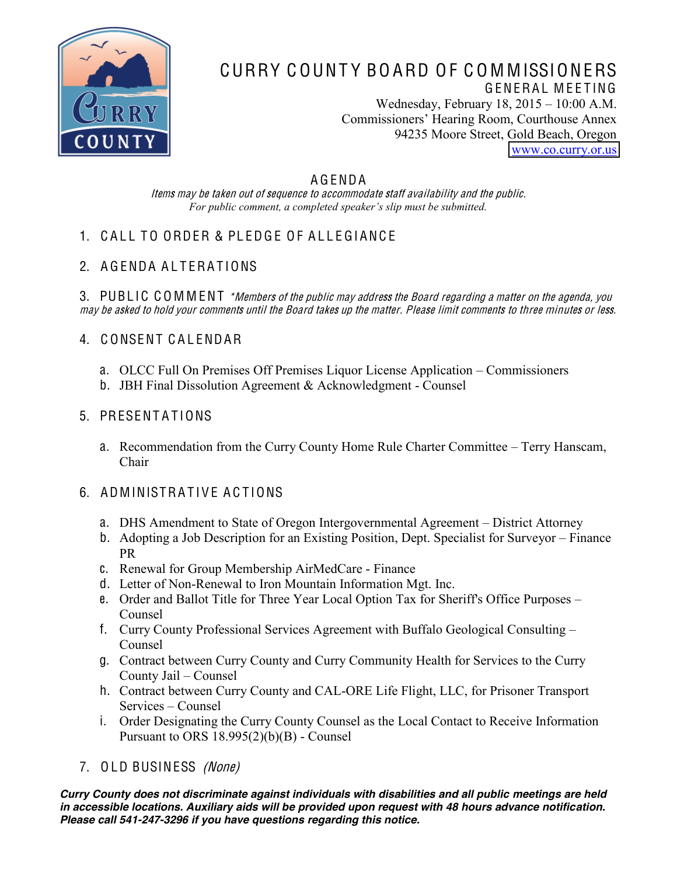

### CURRY C OUNT Y BO ARD O F C O M MISSIONERS GENERAL MEETING Wednesday, February  $18, 2015 - 10:00$  A.M. Commissioners' Hearing Room, Courthouse Annex 94235 Moore Street, Gold Beach, Oregon

[www.co.curry.or.us](http://www.co.curry.or.us/)

#### A G ENDA

Item<sup>s</sup> <sup>m</sup>ay b<sup>e</sup> take<sup>n</sup> out <sup>o</sup>f <sup>s</sup>equence t<sup>o</sup> <sup>a</sup>ccommodat<sup>e</sup> staff availability and th<sup>e</sup> publi<sup>c</sup>. For public comment, a completed speaker's slip must be submitted.

# 1. CALL TO ORDER & PLEDGE OF ALLEGIANCE

## 2. A GENDA ALTERATIONS

3. PUBLIC COMMENT \*Members of the public may address the Board regarding a matter on the agenda, you <sup>m</sup>ay b<sup>e</sup> <sup>a</sup>sked t<sup>o</sup> hold your <sup>c</sup>omments until th<sup>e</sup> Board take<sup>s</sup> up th<sup>e</sup> <sup>m</sup>atter. Pleas<sup>e</sup> limit <sup>c</sup>omments t<sup>o</sup> three minute<sup>s</sup> or less.

## 4. C ONSENT C A L ENDAR

- a. OLCC Full On Premises Off Premises Liquor License Application Commissioners
- b. JBH Final Dissolution Agreement & Acknowledgment Counsel

#### 5. PRESENTATIONS

a. Recommendation from the Curry County Home Rule Charter Committee - Terry Hanscam, Chair

### 6. ADMINISTRATIVE ACTIONS

- a. DHS Amendment to State of Oregon Intergovernmental Agreement District Attorney
- b. Adopting a Job Description for an Existing Position, Dept. Specialist for Surveyor Finance PR
- c. Renewal for Group Membership AirMedCare Finance
- d. Letter of Non-Renewal to Iron Mountain Information Mgt. Inc.
- e. Order and Ballot Title for Three Year Local Option Tax for Sheriff's Office Purposes Counsel
- f. Curry County Professional Services Agreement with Buffalo Geological Consulting Counsel
- g. Contract between Curry County and Curry Community Health for Services to the Curry County Jail – Counsel
- h. Contract between Curry County and CAL-ORE Life Flight, LLC, for Prisoner Transport Services – Counsel
- i. Order Designating the Curry County Counsel as the Local Contact to Receive Information Pursuant to ORS 18.995(2)(b)(B) - Counsel
- 7. OLD BUSINESS (None)

*Curry County does not discriminate against individuals with disabilities and all public meetings are held in accessible locations. Auxiliary aids will be provided upon request with 48 hours advance notification. Please call 541-247-3296 if you have questions regarding this notice.*